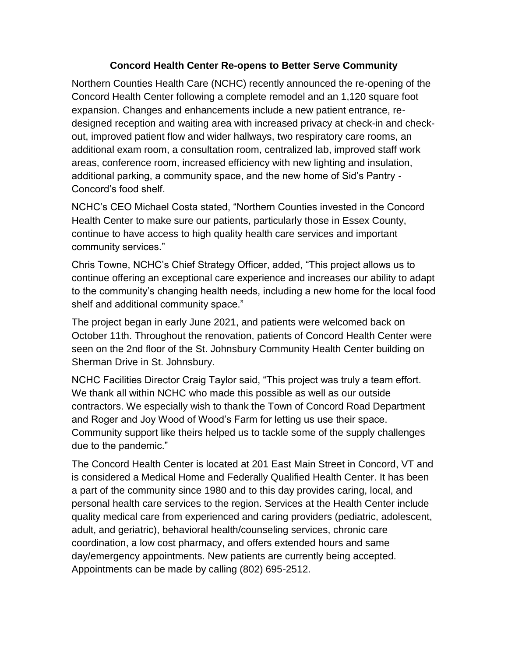## **Concord Health Center Re-opens to Better Serve Community**

Northern Counties Health Care (NCHC) recently announced the re-opening of the Concord Health Center following a complete remodel and an 1,120 square foot expansion. Changes and enhancements include a new patient entrance, redesigned reception and waiting area with increased privacy at check-in and checkout, improved patient flow and wider hallways, two respiratory care rooms, an additional exam room, a consultation room, centralized lab, improved staff work areas, conference room, increased efficiency with new lighting and insulation, additional parking, a community space, and the new home of Sid's Pantry - Concord's food shelf.

NCHC's CEO Michael Costa stated, "Northern Counties invested in the Concord Health Center to make sure our patients, particularly those in Essex County, continue to have access to high quality health care services and important community services."

Chris Towne, NCHC's Chief Strategy Officer, added, "This project allows us to continue offering an exceptional care experience and increases our ability to adapt to the community's changing health needs, including a new home for the local food shelf and additional community space."

The project began in early June 2021, and patients were welcomed back on October 11th. Throughout the renovation, patients of Concord Health Center were seen on the 2nd floor of the St. Johnsbury Community Health Center building on Sherman Drive in St. Johnsbury.

NCHC Facilities Director Craig Taylor said, "This project was truly a team effort. We thank all within NCHC who made this possible as well as our outside contractors. We especially wish to thank the Town of Concord Road Department and Roger and Joy Wood of Wood's Farm for letting us use their space. Community support like theirs helped us to tackle some of the supply challenges due to the pandemic."

The Concord Health Center is located at 201 East Main Street in Concord, VT and is considered a Medical Home and Federally Qualified Health Center. It has been a part of the community since 1980 and to this day provides caring, local, and personal health care services to the region. Services at the Health Center include quality medical care from experienced and caring providers (pediatric, adolescent, adult, and geriatric), behavioral health/counseling services, chronic care coordination, a low cost pharmacy, and offers extended hours and same day/emergency appointments. New patients are currently being accepted. Appointments can be made by calling (802) 695-2512.